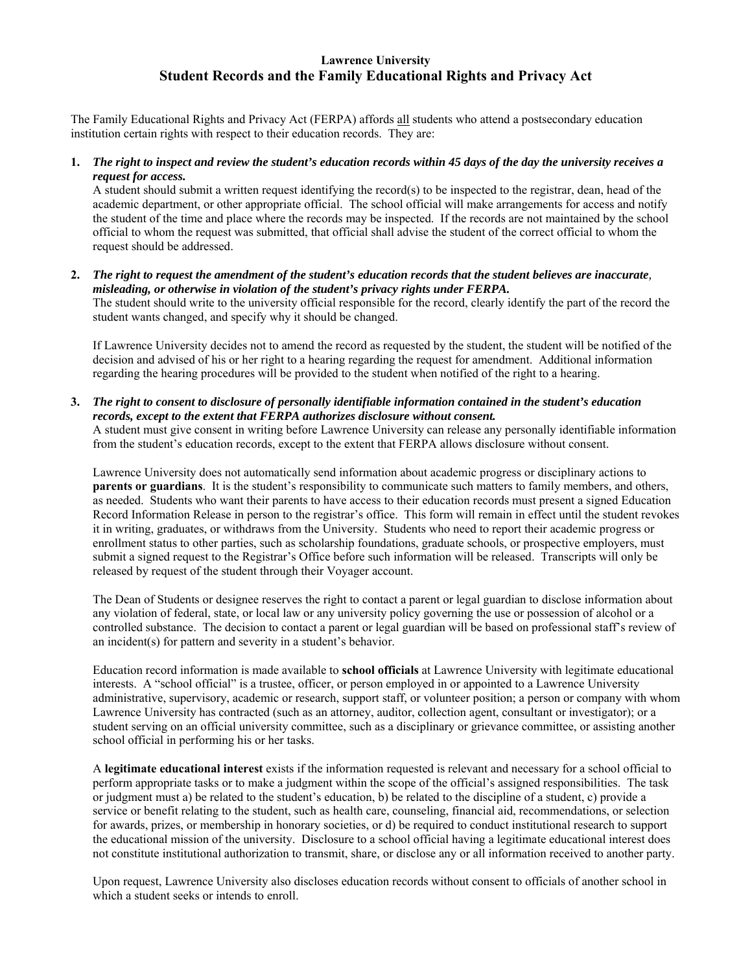## **Lawrence University Student Records and the Family Educational Rights and Privacy Act**

The Family Educational Rights and Privacy Act (FERPA) affords all students who attend a postsecondary education institution certain rights with respect to their education records. They are:

**1.** *The right to inspect and review the student's education records within 45 days of the day the university receives a request for access.*

 A student should submit a written request identifying the record(s) to be inspected to the registrar, dean, head of the academic department, or other appropriate official. The school official will make arrangements for access and notify the student of the time and place where the records may be inspected. If the records are not maintained by the school official to whom the request was submitted, that official shall advise the student of the correct official to whom the request should be addressed.

**2.** *The right to request the amendment of the student's education records that the student believes are inaccurate, misleading, or otherwise in violation of the student's privacy rights under FERPA.*

 The student should write to the university official responsible for the record, clearly identify the part of the record the student wants changed, and specify why it should be changed.

 If Lawrence University decides not to amend the record as requested by the student, the student will be notified of the decision and advised of his or her right to a hearing regarding the request for amendment. Additional information regarding the hearing procedures will be provided to the student when notified of the right to a hearing.

**3.** *The right to consent to disclosure of personally identifiable information contained in the student's education records, except to the extent that FERPA authorizes disclosure without consent.* 

 A student must give consent in writing before Lawrence University can release any personally identifiable information from the student's education records, except to the extent that FERPA allows disclosure without consent.

 Lawrence University does not automatically send information about academic progress or disciplinary actions to **parents or guardians**. It is the student's responsibility to communicate such matters to family members, and others, as needed. Students who want their parents to have access to their education records must present a signed Education Record Information Release in person to the registrar's office. This form will remain in effect until the student revokes it in writing, graduates, or withdraws from the University. Students who need to report their academic progress or enrollment status to other parties, such as scholarship foundations, graduate schools, or prospective employers, must submit a signed request to the Registrar's Office before such information will be released. Transcripts will only be released by request of the student through their Voyager account.

 The Dean of Students or designee reserves the right to contact a parent or legal guardian to disclose information about any violation of federal, state, or local law or any university policy governing the use or possession of alcohol or a controlled substance. The decision to contact a parent or legal guardian will be based on professional staff's review of an incident(s) for pattern and severity in a student's behavior.

 Education record information is made available to **school officials** at Lawrence University with legitimate educational interests. A "school official" is a trustee, officer, or person employed in or appointed to a Lawrence University administrative, supervisory, academic or research, support staff, or volunteer position; a person or company with whom Lawrence University has contracted (such as an attorney, auditor, collection agent, consultant or investigator); or a student serving on an official university committee, such as a disciplinary or grievance committee, or assisting another school official in performing his or her tasks.

 A **legitimate educational interest** exists if the information requested is relevant and necessary for a school official to perform appropriate tasks or to make a judgment within the scope of the official's assigned responsibilities. The task or judgment must a) be related to the student's education, b) be related to the discipline of a student, c) provide a service or benefit relating to the student, such as health care, counseling, financial aid, recommendations, or selection for awards, prizes, or membership in honorary societies, or d) be required to conduct institutional research to support the educational mission of the university. Disclosure to a school official having a legitimate educational interest does not constitute institutional authorization to transmit, share, or disclose any or all information received to another party.

Upon request, Lawrence University also discloses education records without consent to officials of another school in which a student seeks or intends to enroll.